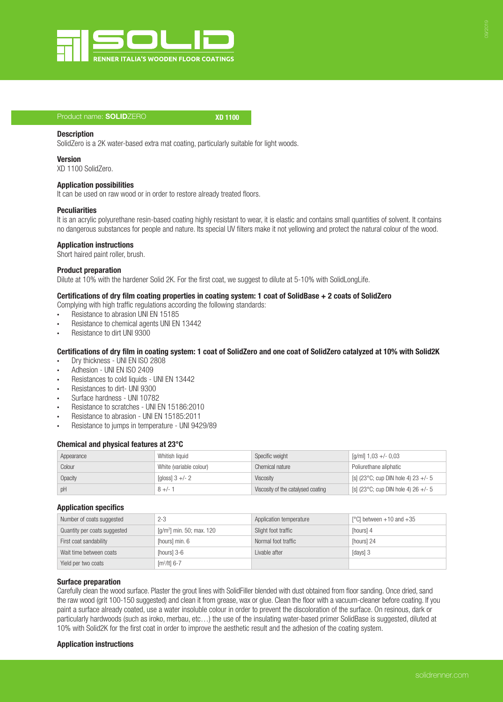

## Product name: SOLIDZERO XD 1100

### **Description**

SolidZero is a 2K water-based extra mat coating, particularly suitable for light woods.

## Version

XD 1100 SolidZero.

## Application possibilities

It can be used on raw wood or in order to restore already treated floors.

## **Peculiarities**

It is an acrylic polyurethane resin-based coating highly resistant to wear, it is elastic and contains small quantities of solvent. It contains no dangerous substances for people and nature. Its special UV filters make it not yellowing and protect the natural colour of the wood.

## Application instructions

Short haired paint roller, brush.

## Product preparation

Dilute at 10% with the hardener Solid 2K. For the first coat, we suggest to dilute at 5-10% with SolidLongLife.

## Certifications of dry film coating properties in coating system: 1 coat of SolidBase + 2 coats of SolidZero

Complying with high traffic regulations according the following standards:

- ∙ Resistance to abrasion UNI EN 15185
- ∙ Resistance to chemical agents UNI EN 13442
- ∙ Resistance to dirt UNI 9300

# Certifications of dry film in coating system: 1 coat of SolidZero and one coat of SolidZero catalyzed at 10% with Solid2K

- ∙ Dry thickness UNI EN ISO 2808
- ∙ Adhesion UNI EN ISO 2409
- ∙ Resistances to cold liquids UNI EN 13442
- ∙ Resistances to dirt- UNI 9300
- ∙ Surface hardness UNI 10782
- ∙ Resistance to scratches UNI EN 15186:2010
- ∙ Resistance to abrasion UNI EN 15185:2011
- ∙ Resistance to jumps in temperature UNI 9429/89

## Chemical and physical features at 23°C

| Appearance | Whitish liquid          | Specific weight                    | [g/ml] $1,03 +/- 0,03$                         |
|------------|-------------------------|------------------------------------|------------------------------------------------|
| Colour     | White (variable colour) | Chemical nature                    | Poliurethane aliphatic                         |
| Opacity    | [gloss] $3 +/- 2$       | Viscosity                          | [s] (23 $^{\circ}$ C; cup DIN hole 4) 23 +/- 5 |
| pH         | $8 +/- 1$               | Viscosity of the catalysed coating | [s] (23 $^{\circ}$ C; cup DIN hole 4) 26 +/- 5 |

## Application specifics

| Number of coats suggested    | $2 - 3$                     | Application temperature | [ $^{\circ}$ C] between +10 and +35 |
|------------------------------|-----------------------------|-------------------------|-------------------------------------|
| Quantity per coats suggested | $[q/m^2]$ min. 50; max. 120 | Slight foot traffic     | [hours] 4                           |
| First coat sandability       | [hours] min. 6              | Normal foot traffic     | [hours] 24                          |
| Wait time between coats      | [hours] 3-6                 | Livable after           | [days] 3                            |
| Yield per two coats          | $Im2/It$ l 6-7              |                         |                                     |

## Surface preparation

Carefully clean the wood surface. Plaster the grout lines with SolidFiller blended with dust obtained from floor sanding. Once dried, sand the raw wood (grit 100-150 suggested) and clean it from grease, wax or glue. Clean the floor with a vacuum-cleaner before coating. If you paint a surface already coated, use a water insoluble colour in order to prevent the discoloration of the surface. On resinous, dark or particularly hardwoods (such as iroko, merbau, etc...) the use of the insulating water-based primer SolidBase is suggested, diluted at 10% with Solid2K for the first coat in order to improve the aesthetic result and the adhesion of the coating system.

## Application instructions